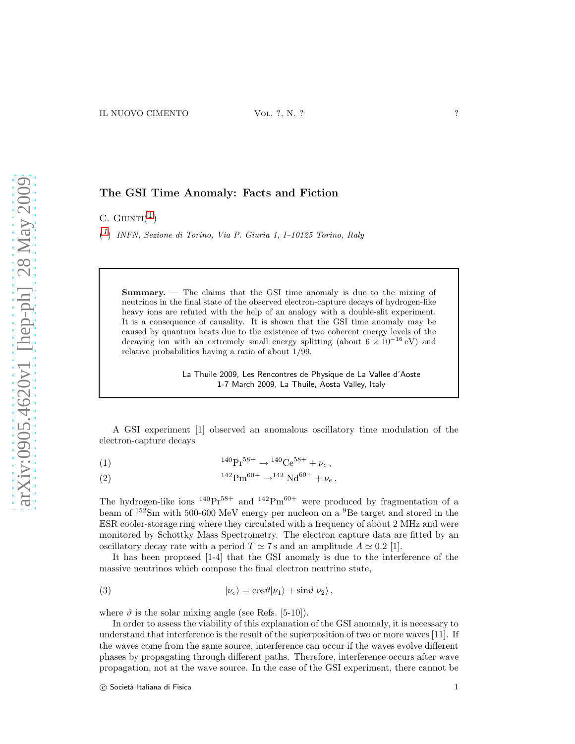## The GSI Time Anomaly: Facts and Fiction

C.  $G$ IUNTI $(1)$  $(1)$  $(1)$ 

<span id="page-0-0"></span> $(1)$  $(1)$  $(1)$  INFN, Sezione di Torino, Via P. Giuria 1, I-10125 Torino, Italy

Summary. — The claims that the GSI time anomaly is due to the mixing of neutrinos in the final state of the observed electron-capture decays of hydrogen-like heavy ions are refuted with the help of an analogy with a double-slit experiment. It is a consequence of causality. It is shown that the GSI time anomaly may be caused by quantum beats due to the existence of two coherent energy levels of the decaying ion with an extremely small energy splitting (about  $6 \times 10^{-16}$  eV) and relative probabilities having a ratio of about 1/99.

> La Thuile 2009, Les Rencontres de Physique de La Vallee d'Aoste 1-7 March 2009, La Thuile, Aosta Valley, Italy

A GSI experiment [1] observed an anomalous oscillatory time modulation of the electron-capture decays

<span id="page-0-1"></span>(1) 
$$
{}^{140}\text{Pr}^{58+} \rightarrow {}^{140}\text{Ce}^{58+} + \nu_e,
$$

<span id="page-0-2"></span>(2) 
$$
{}^{142}\text{Pm}^{60+} \rightarrow {}^{142}\text{Nd}^{60+} + \nu_e.
$$

The hydrogen-like ions  $^{140}\text{Pr}^{58+}$  and  $^{142}\text{Pm}^{60+}$  were produced by fragmentation of a beam of  $^{152}$ Sm with 500-600 MeV energy per nucleon on a  $^{9}$ Be target and stored in the ESR cooler-storage ring where they circulated with a frequency of about 2 MHz and were monitored by Schottky Mass Spectrometry. The electron capture data are fitted by an oscillatory decay rate with a period  $T \simeq 7$  s and an amplitude  $A \simeq 0.2$  [1].

It has been proposed [1-4] that the GSI anomaly is due to the interference of the massive neutrinos which compose the final electron neutrino state,

<span id="page-0-3"></span>(3) 
$$
|\nu_e\rangle = \cos\vartheta|\nu_1\rangle + \sin\vartheta|\nu_2\rangle,
$$

where  $\vartheta$  is the solar mixing angle (see Refs. [5-10]).

In order to assess the viability of this explanation of the GSI anomaly, it is necessary to understand that interference is the result of the superposition of two or more waves [11]. If the waves come from the same source, interference can occur if the waves evolve different phases by propagating through different paths. Therefore, interference occurs after wave propagation, not at the wave source. In the case of the GSI experiment, there cannot be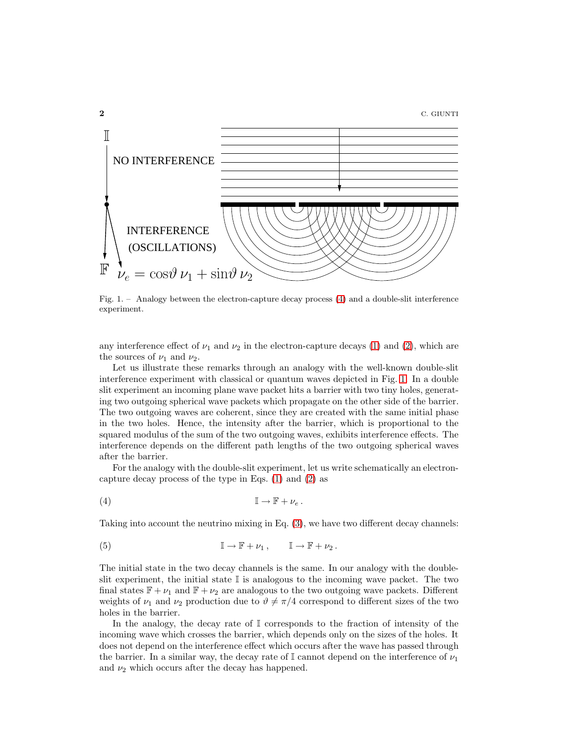

<span id="page-1-1"></span>Fig. 1. – Analogy between the electron-capture decay process [\(4\)](#page-1-0) and a double-slit interference experiment.

any interference effect of  $\nu_1$  and  $\nu_2$  in the electron-capture decays [\(1\)](#page-0-1) and [\(2\)](#page-0-2), which are the sources of  $\nu_1$  and  $\nu_2$ .

Let us illustrate these remarks through an analogy with the well-known double-slit interference experiment with classical or quantum waves depicted in Fig. [1.](#page-1-1) In a double slit experiment an incoming plane wave packet hits a barrier with two tiny holes, generating two outgoing spherical wave packets which propagate on the other side of the barrier. The two outgoing waves are coherent, since they are created with the same initial phase in the two holes. Hence, the intensity after the barrier, which is proportional to the squared modulus of the sum of the two outgoing waves, exhibits interference effects. The interference depends on the different path lengths of the two outgoing spherical waves after the barrier.

For the analogy with the double-slit experiment, let us write schematically an electroncapture decay process of the type in Eqs. [\(1\)](#page-0-1) and [\(2\)](#page-0-2) as

<span id="page-1-0"></span>
$$
(4) \t\t\t \mathbb{I} \to \mathbb{F} + \nu_e.
$$

Taking into account the neutrino mixing in Eq. [\(3\)](#page-0-3), we have two different decay channels:

(5) 
$$
\mathbb{I} \to \mathbb{F} + \nu_1, \qquad \mathbb{I} \to \mathbb{F} + \nu_2.
$$

The initial state in the two decay channels is the same. In our analogy with the doubleslit experiment, the initial state  $\mathbb I$  is analogous to the incoming wave packet. The two final states  $\mathbb{F} + \nu_1$  and  $\mathbb{F} + \nu_2$  are analogous to the two outgoing wave packets. Different weights of  $\nu_1$  and  $\nu_2$  production due to  $\vartheta \neq \pi/4$  correspond to different sizes of the two holes in the barrier.

In the analogy, the decay rate of I corresponds to the fraction of intensity of the incoming wave which crosses the barrier, which depends only on the sizes of the holes. It does not depend on the interference effect which occurs after the wave has passed through the barrier. In a similar way, the decay rate of  $\mathbb{I}$  cannot depend on the interference of  $\nu_1$ and  $\nu_2$  which occurs after the decay has happened.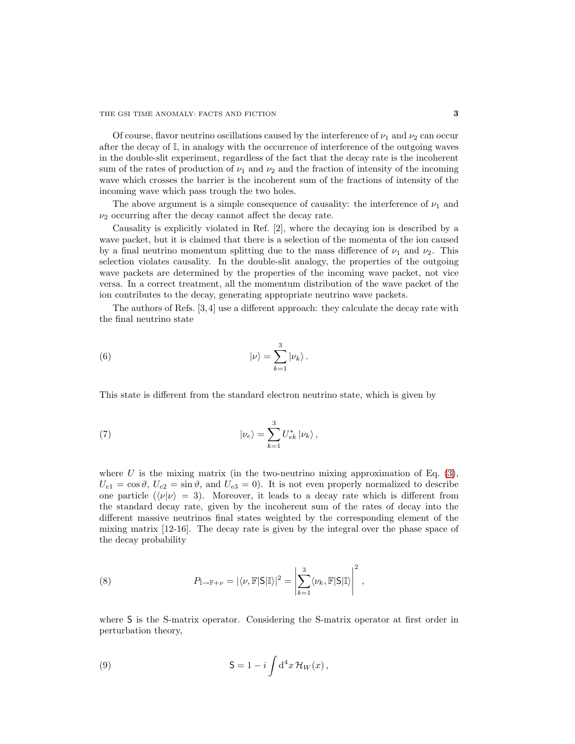Of course, flavor neutrino oscillations caused by the interference of  $\nu_1$  and  $\nu_2$  can occur after the decay of I, in analogy with the occurrence of interference of the outgoing waves in the double-slit experiment, regardless of the fact that the decay rate is the incoherent sum of the rates of production of  $\nu_1$  and  $\nu_2$  and the fraction of intensity of the incoming wave which crosses the barrier is the incoherent sum of the fractions of intensity of the incoming wave which pass trough the two holes.

The above argument is a simple consequence of causality: the interference of  $\nu_1$  and  $\nu_2$  occurring after the decay cannot affect the decay rate.

Causality is explicitly violated in Ref. [2], where the decaying ion is described by a wave packet, but it is claimed that there is a selection of the momenta of the ion caused by a final neutrino momentum splitting due to the mass difference of  $\nu_1$  and  $\nu_2$ . This selection violates causality. In the double-slit analogy, the properties of the outgoing wave packets are determined by the properties of the incoming wave packet, not vice versa. In a correct treatment, all the momentum distribution of the wave packet of the ion contributes to the decay, generating appropriate neutrino wave packets.

The authors of Refs. [3,4] use a different approach: they calculate the decay rate with the final neutrino state

<span id="page-2-1"></span>(6) 
$$
|\nu\rangle = \sum_{k=1}^{3} |\nu_k\rangle.
$$

This state is different from the standard electron neutrino state, which is given by

<span id="page-2-2"></span>(7) 
$$
|\nu_e\rangle = \sum_{k=1}^3 U_{ek}^* |\nu_k\rangle,
$$

where U is the mixing matrix (in the two-neutrino mixing approximation of Eq.  $(3)$ ,  $U_{e1} = \cos \vartheta, U_{e2} = \sin \vartheta$ , and  $U_{e3} = 0$ . It is not even properly normalized to describe one particle  $(\langle \nu | \nu \rangle = 3)$ . Moreover, it leads to a decay rate which is different from the standard decay rate, given by the incoherent sum of the rates of decay into the different massive neutrinos final states weighted by the corresponding element of the mixing matrix [12-16]. The decay rate is given by the integral over the phase space of the decay probability

<span id="page-2-0"></span>(8) 
$$
P_{\mathbb{I}\to\mathbb{F}+\nu}=|\langle \nu,\mathbb{F}|S|\mathbb{I}\rangle|^2=\left|\sum_{k=1}^3\langle \nu_k,\mathbb{F}|S|\mathbb{I}\rangle\right|^2,
$$

where S is the S-matrix operator. Considering the S-matrix operator at first order in perturbation theory,

(9) 
$$
\mathsf{S} = 1 - i \int \mathrm{d}^4 x \, \mathcal{H}_W(x) \,,
$$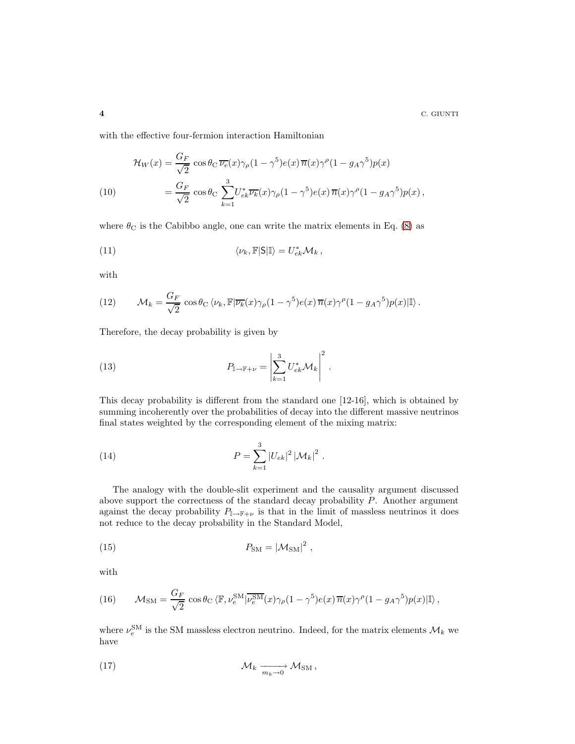$4$  C. GIUNTI

with the effective four-fermion interaction Hamiltonian

(10)  
\n
$$
\mathcal{H}_W(x) = \frac{G_F}{\sqrt{2}} \cos \theta_C \, \overline{\nu_e}(x) \gamma_\rho (1 - \gamma^5) e(x) \, \overline{n}(x) \gamma^\rho (1 - g_A \gamma^5) p(x)
$$
\n
$$
= \frac{G_F}{\sqrt{2}} \cos \theta_C \sum_{k=1}^3 U_{ek}^* \overline{\nu_k}(x) \gamma_\rho (1 - \gamma^5) e(x) \, \overline{n}(x) \gamma^\rho (1 - g_A \gamma^5) p(x) \,,
$$

where  $\theta_{\rm C}$  is the Cabibbo angle, one can write the matrix elements in Eq. [\(8\)](#page-2-0) as

(11) 
$$
\langle \nu_k, \mathbb{F} | \mathsf{S} | \mathbb{I} \rangle = U_{ek}^* \mathcal{M}_k,
$$

with

(12) 
$$
\mathcal{M}_k = \frac{G_F}{\sqrt{2}} \cos \theta_C \langle \nu_k, \mathbb{F} | \overline{\nu_k}(x) \gamma_\rho (1 - \gamma^5) e(x) \overline{n}(x) \gamma^\rho (1 - g_A \gamma^5) p(x) | \mathbb{I} \rangle.
$$

Therefore, the decay probability is given by

(13) 
$$
P_{\mathbb{I}\to\mathbb{F}+\nu} = \left|\sum_{k=1}^3 U_{ek}^* \mathcal{M}_k\right|^2.
$$

This decay probability is different from the standard one [12-16], which is obtained by summing incoherently over the probabilities of decay into the different massive neutrinos final states weighted by the corresponding element of the mixing matrix:

(14) 
$$
P = \sum_{k=1}^{3} |U_{ek}|^2 |M_k|^2.
$$

The analogy with the double-slit experiment and the causality argument discussed above support the correctness of the standard decay probability P. Another argument against the decay probability  $P_{\mathbb{I}\to\mathbb{F}+\nu}$  is that in the limit of massless neutrinos it does not reduce to the decay probability in the Standard Model,

<span id="page-3-2"></span><span id="page-3-1"></span><span id="page-3-0"></span>,

$$
P_{\rm SM} = |\mathcal{M}_{\rm SM}|^2
$$

with

(16) 
$$
\mathcal{M}_{\rm SM} = \frac{G_F}{\sqrt{2}} \cos \theta_{\rm C} \langle \mathbb{F}, \nu_e^{\rm SM} | \overline{\nu_e^{\rm SM}}(x) \gamma_\rho (1 - \gamma^5) e(x) \overline{n}(x) \gamma^\rho (1 - g_A \gamma^5) p(x) | \mathbb{I} \rangle,
$$

where  $\nu_e^{\text{SM}}$  is the SM massless electron neutrino. Indeed, for the matrix elements  $\mathcal{M}_k$  we have

$$
\mathcal{M}_k \xrightarrow[m_k \to 0]{} \mathcal{M}_{\text{SM}},
$$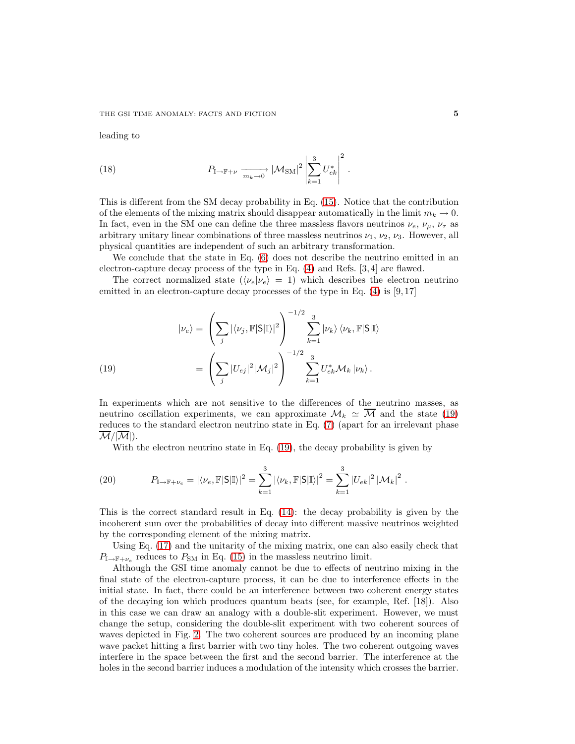leading to

(18) 
$$
P_{\mathbb{I}\to\mathbb{F}+\nu} \xrightarrow[m_k\to 0]{} |\mathcal{M}_{\text{SM}}|^2 \left| \sum_{k=1}^3 U_{ek}^* \right|^2.
$$

This is different from the SM decay probability in Eq. [\(15\)](#page-3-0). Notice that the contribution of the elements of the mixing matrix should disappear automatically in the limit  $m_k \to 0$ . In fact, even in the SM one can define the three massless flavors neutrinos  $\nu_e$ ,  $\nu_\mu$ ,  $\nu_\tau$  as arbitrary unitary linear combinations of three massless neutrinos  $\nu_1, \nu_2, \nu_3$ . However, all physical quantities are independent of such an arbitrary transformation.

We conclude that the state in Eq.  $(6)$  does not describe the neutrino emitted in an electron-capture decay process of the type in Eq. [\(4\)](#page-1-0) and Refs. [3, 4] are flawed.

The correct normalized state  $(\langle \nu_e | \nu_e \rangle = 1)$  which describes the electron neutrino emitted in an electron-capture decay processes of the type in Eq. [\(4\)](#page-1-0) is [9,17]

(19)  
\n
$$
|\nu_e\rangle = \left(\sum_j |\langle \nu_j, \mathbb{F}|S|\mathbb{I}\rangle|^2\right)^{-1/2} \sum_{k=1}^3 |\nu_k\rangle \langle \nu_k, \mathbb{F}|S|\mathbb{I}\rangle
$$
\n
$$
= \left(\sum_j |U_{ej}|^2 |\mathcal{M}_j|^2\right)^{-1/2} \sum_{k=1}^3 U_{ek}^* \mathcal{M}_k |\nu_k\rangle.
$$

<span id="page-4-0"></span>In experiments which are not sensitive to the differences of the neutrino masses, as neutrino oscillation experiments, we can approximate  $\mathcal{M}_k \simeq \overline{\mathcal{M}}$  and the state [\(19\)](#page-4-0) reduces to the standard electron neutrino state in Eq. [\(7\)](#page-2-2) (apart for an irrelevant phase  $\mathcal{M}/|\mathcal{M}|$ ).

With the electron neutrino state in Eq. [\(19\)](#page-4-0), the decay probability is given by

(20) 
$$
P_{\mathbb{I}\to\mathbb{F}+\nu_e} = |\langle \nu_e, \mathbb{F}|S|\mathbb{I}\rangle|^2 = \sum_{k=1}^3 |\langle \nu_k, \mathbb{F}|S|\mathbb{I}\rangle|^2 = \sum_{k=1}^3 |U_{ek}|^2 |\mathcal{M}_k|^2.
$$

This is the correct standard result in Eq. [\(14\)](#page-3-1): the decay probability is given by the incoherent sum over the probabilities of decay into different massive neutrinos weighted by the corresponding element of the mixing matrix.

Using Eq. [\(17\)](#page-3-2) and the unitarity of the mixing matrix, one can also easily check that  $P_{\mathbb{I}\rightarrow\mathbb{F}+\nu_e}$  reduces to  $P_{\text{SM}}$  in Eq. [\(15\)](#page-3-0) in the massless neutrino limit.

Although the GSI time anomaly cannot be due to effects of neutrino mixing in the final state of the electron-capture process, it can be due to interference effects in the initial state. In fact, there could be an interference between two coherent energy states of the decaying ion which produces quantum beats (see, for example, Ref. [18]). Also in this case we can draw an analogy with a double-slit experiment. However, we must change the setup, considering the double-slit experiment with two coherent sources of waves depicted in Fig. [2.](#page-5-0) The two coherent sources are produced by an incoming plane wave packet hitting a first barrier with two tiny holes. The two coherent outgoing waves interfere in the space between the first and the second barrier. The interference at the holes in the second barrier induces a modulation of the intensity which crosses the barrier.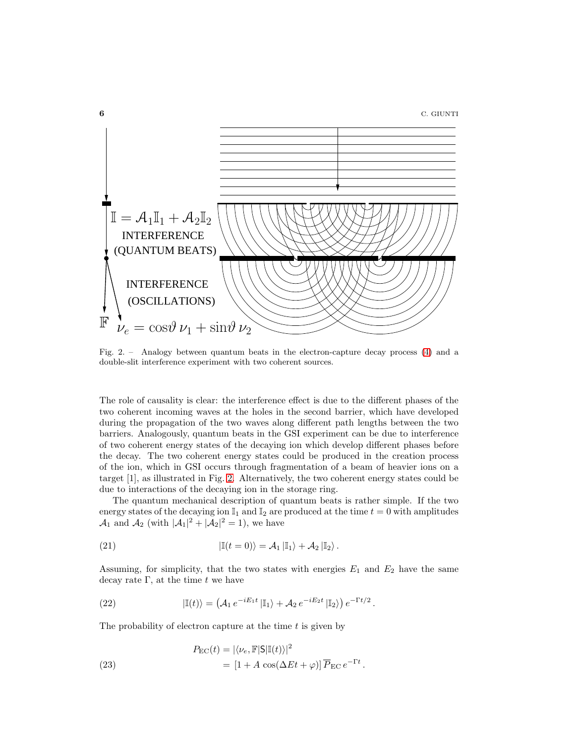

<span id="page-5-0"></span>Fig. 2. – Analogy between quantum beats in the electron-capture decay process [\(4\)](#page-1-0) and a double-slit interference experiment with two coherent sources.

The role of causality is clear: the interference effect is due to the different phases of the two coherent incoming waves at the holes in the second barrier, which have developed during the propagation of the two waves along different path lengths between the two barriers. Analogously, quantum beats in the GSI experiment can be due to interference of two coherent energy states of the decaying ion which develop different phases before the decay. The two coherent energy states could be produced in the creation process of the ion, which in GSI occurs through fragmentation of a beam of heavier ions on a target [1], as illustrated in Fig. [2.](#page-5-0) Alternatively, the two coherent energy states could be due to interactions of the decaying ion in the storage ring.

The quantum mechanical description of quantum beats is rather simple. If the two energy states of the decaying ion  $\mathbb{I}_1$  and  $\mathbb{I}_2$  are produced at the time  $t = 0$  with amplitudes  $\mathcal{A}_1$  and  $\mathcal{A}_2$  (with  $|\mathcal{A}_1|^2 + |\mathcal{A}_2|^2 = 1$ ), we have

(21) 
$$
|\mathbb{I}(t=0)\rangle = \mathcal{A}_1 |\mathbb{I}_1\rangle + \mathcal{A}_2 |\mathbb{I}_2\rangle.
$$

Assuming, for simplicity, that the two states with energies  $E_1$  and  $E_2$  have the same decay rate  $\Gamma$ , at the time t we have

(22) 
$$
|\mathbb{I}(t)\rangle = \left(\mathcal{A}_1 e^{-iE_1t} |\mathbb{I}_1\rangle + \mathcal{A}_2 e^{-iE_2t} |\mathbb{I}_2\rangle\right) e^{-\Gamma t/2}.
$$

The probability of electron capture at the time  $t$  is given by

(23) 
$$
P_{\text{EC}}(t) = |\langle \nu_e, \mathbb{F} | \mathsf{S} | \mathbb{I}(t) \rangle|^2
$$

$$
= [1 + A \cos(\Delta E t + \varphi)] \overline{P}_{\text{EC}} e^{-\Gamma t}.
$$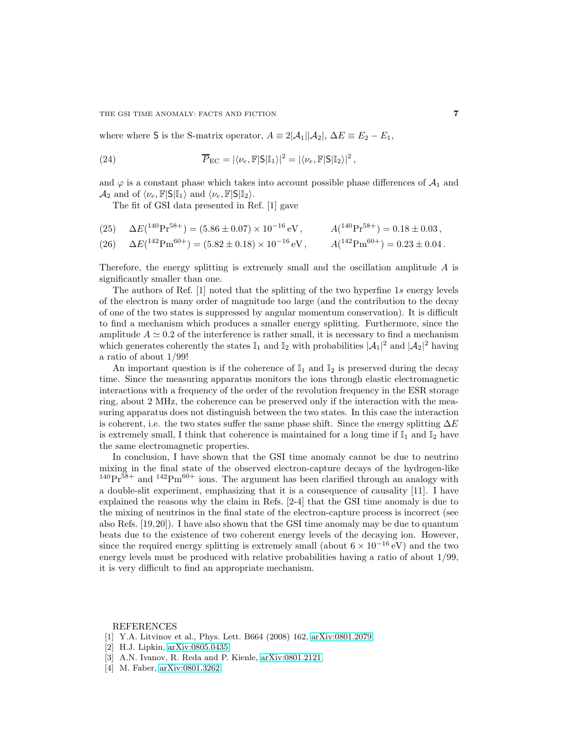where where S is the S-matrix operator,  $A = 2|\mathcal{A}_1||\mathcal{A}_2|$ ,  $\Delta E \equiv E_2 - E_1$ ,

(24) 
$$
\overline{P}_{\text{EC}} = |\langle \nu_e, \mathbb{F} | \mathsf{S} | \mathbb{I}_1 \rangle|^2 = |\langle \nu_e, \mathbb{F} | \mathsf{S} | \mathbb{I}_2 \rangle|^2,
$$

and  $\varphi$  is a constant phase which takes into account possible phase differences of  $\mathcal{A}_1$  and  $\mathcal{A}_2$  and of  $\langle \nu_e, \mathbb{F}|S|\mathbb{I}_1\rangle$  and  $\langle \nu_e, \mathbb{F}|S|\mathbb{I}_2\rangle$ .

The fit of GSI data presented in Ref. [1] gave

(25) 
$$
\Delta E({}^{140}\text{Pr}^{58+}) = (5.86 \pm 0.07) \times 10^{-16} \text{ eV}, \qquad A({}^{140}\text{Pr}^{58+}) = 0.18 \pm 0.03,
$$

(26) 
$$
\Delta E(^{142}\text{Pm}^{60+}) = (5.82 \pm 0.18) \times 10^{-16} \text{ eV}, \qquad A(^{142}\text{Pm}^{60+}) = 0.23 \pm 0.04.
$$

Therefore, the energy splitting is extremely small and the oscillation amplitude  $A$  is significantly smaller than one.

The authors of Ref. [1] noted that the splitting of the two hyperfine 1s energy levels of the electron is many order of magnitude too large (and the contribution to the decay of one of the two states is suppressed by angular momentum conservation). It is difficult to find a mechanism which produces a smaller energy splitting. Furthermore, since the amplitude  $A \simeq 0.2$  of the interference is rather small, it is necessary to find a mechanism which generates coherently the states  $\mathbb{I}_1$  and  $\mathbb{I}_2$  with probabilities  $|\mathcal{A}_1|^2$  and  $|\mathcal{A}_2|^2$  having a ratio of about 1/99!

An important question is if the coherence of  $\mathbb{I}_1$  and  $\mathbb{I}_2$  is preserved during the decay time. Since the measuring apparatus monitors the ions through elastic electromagnetic interactions with a frequency of the order of the revolution frequency in the ESR storage ring, about 2 MHz, the coherence can be preserved only if the interaction with the measuring apparatus does not distinguish between the two states. In this case the interaction is coherent, i.e. the two states suffer the same phase shift. Since the energy splitting  $\Delta E$ is extremely small, I think that coherence is maintained for a long time if  $\mathbb{I}_1$  and  $\mathbb{I}_2$  have the same electromagnetic properties.

In conclusion, I have shown that the GSI time anomaly cannot be due to neutrino mixing in the final state of the observed electron-capture decays of the hydrogen-like  $140\text{Pr}^{58+}$  and  $142\text{Pm}^{60+}$  ions. The argument has been clarified through an analogy with a double-slit experiment, emphasizing that it is a consequence of causality [11]. I have explained the reasons why the claim in Refs. [2-4] that the GSI time anomaly is due to the mixing of neutrinos in the final state of the electron-capture process is incorrect (see also Refs. [19,20]). I have also shown that the GSI time anomaly may be due to quantum beats due to the existence of two coherent energy levels of the decaying ion. However, since the required energy splitting is extremely small (about  $6 \times 10^{-16}$  eV) and the two energy levels must be produced with relative probabilities having a ratio of about 1/99, it is very difficult to find an appropriate mechanism.

## REFERENCES

- [1] Y.A. Litvinov et al., Phys. Lett. B664 (2008) 162, [arXiv:0801.2079.](http://arxiv.org/abs/0801.2079)
- [2] H.J. Lipkin, [arXiv:0805.0435.](http://arxiv.org/abs/0805.0435)
- [3] A.N. Ivanov, R. Reda and P. Kienle, [arXiv:0801.2121.](http://arxiv.org/abs/0801.2121)
- [4] M. Faber, [arXiv:0801.3262.](http://arxiv.org/abs/0801.3262)